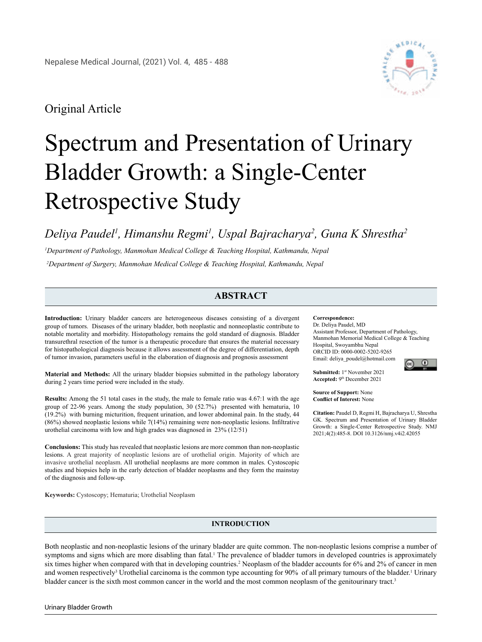# Original Article



# Spectrum and Presentation of Urinary Bladder Growth: a Single-Center Retrospective Study

*Deliya Paudel1 , Himanshu Regmi1 , Uspal Bajracharya2 , Guna K Shrestha2*

*1 Department of Pathology, Manmohan Medical College & Teaching Hospital, Kathmandu, Nepal 2 Department of Surgery, Manmohan Medical College & Teaching Hospital, Kathmandu, Nepal*

# **ABSTRACT**

**Introduction:** Urinary bladder cancers are heterogeneous diseases consisting of a divergent group of tumors. Diseases of the urinary bladder, both neoplastic and nonneoplastic contribute to notable mortality and morbidity. Histopathology remains the gold standard of diagnosis. Bladder transurethral resection of the tumor is a therapeutic procedure that ensures the material necessary for histopathological diagnosis because it allows assessment of the degree of differentiation, depth of tumor invasion, parameters useful in the elaboration of diagnosis and prognosis assessment

**Material and Methods:** All the urinary bladder biopsies submitted in the pathology laboratory during 2 years time period were included in the study.

**Results:** Among the 51 total cases in the study, the male to female ratio was 4.67:1 with the age group of 22-96 years. Among the study population, 30 (52.7%) presented with hematuria, 10 (19.2%) with burning micturition, frequent urination, and lower abdominal pain. In the study, 44 (86%) showed neoplastic lesions while 7(14%) remaining were non-neoplastic lesions. Infiltrative urothelial carcinoma with low and high grades was diagnosed in 23% (12/51)

**Conclusions:** This study has revealed that neoplastic lesions are more common than non-neoplastic lesions. A great majority of neoplastic lesions are of urothelial origin. Majority of which are invasive urothelial neoplasm. All urothelial neoplasms are more common in males. Cystoscopic studies and biopsies help in the early detection of bladder neoplasms and they form the mainstay of the diagnosis and follow-up.

**Keywords:** Cystoscopy; Hematuria; Urothelial Neoplasm

#### **Correspondence:**

Dr. Deliya Paudel, MD Assistant Professor, Department of Pathology, Manmohan Memorial Medical College & Teaching Hospital, Swoyambhu Nepal ORCID ID: 0000-0002-5202-9265 Email: deliya\_poudel@hotmail.com

 $\omega$ 

**Submitted:** 1st November 2021 **Accepted:** 9th December 2021

**Source of Support:** None **Conflict of Interest:** None

**Citation:** Paudel D, Regmi H, Bajracharya U, Shrestha GK. Spectrum and Presentation of Urinary Bladder Growth: a Single-Center Retrospective Study. NMJ 2021;4(2):485-8. DOI 10.3126/nmj.v4i2.42055

# **INTRODUCTION**

Both neoplastic and non-neoplastic lesions of the urinary bladder are quite common. The non-neoplastic lesions comprise a number of symptoms and signs which are more disabling than fatal.<sup>1</sup> The prevalence of bladder tumors in developed countries is approximately six times higher when compared with that in developing countries.<sup>2</sup> Neoplasm of the bladder accounts for 6% and 2% of cancer in men and women respectively<sup>3</sup> Urothelial carcinoma is the common type accounting for 90% of all primary tumours of the bladder.<sup>1</sup> Urinary bladder cancer is the sixth most common cancer in the world and the most common neoplasm of the genitourinary tract.<sup>3</sup>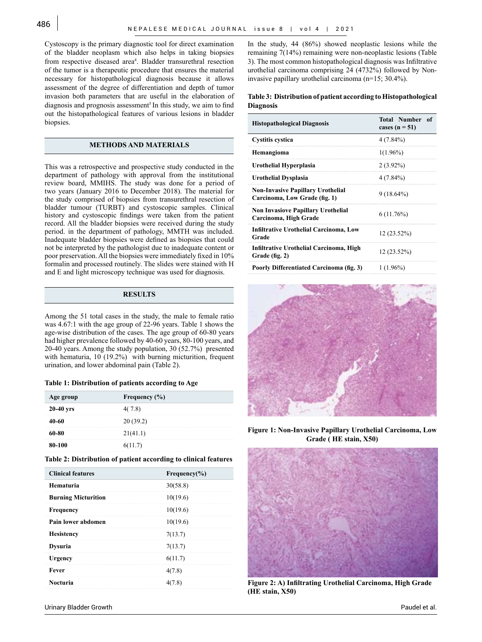Cystoscopy is the primary diagnostic tool for direct examination of the bladder neoplasm which also helps in taking biopsies from respective diseased area<sup>4</sup>. Bladder transurethral resection of the tumor is a therapeutic procedure that ensures the material necessary for histopathological diagnosis because it allows assessment of the degree of differentiation and depth of tumor invasion both parameters that are useful in the elaboration of diagnosis and prognosis assessment<sup>5</sup> In this study, we aim to find out the histopathological features of various lesions in bladder biopsies.

## **METHODS AND MATERIALS**

This was a retrospective and prospective study conducted in the department of pathology with approval from the institutional review board, MMIHS. The study was done for a period of two years (January 2016 to December 2018). The material for the study comprised of biopsies from transurethral resection of bladder tumour (TURBT) and cystoscopic samples. Clinical history and cystoscopic findings were taken from the patient record. All the bladder biopsies were received during the study period. in the department of pathology, MMTH was included. Inadequate bladder biopsies were defined as biopsies that could not be interpreted by the pathologist due to inadequate content or poor preservation. All the biopsies were immediately fixed in 10% formalin and processed routinely. The slides were stained with H and E and light microscopy technique was used for diagnosis.

# **RESULTS**

Among the 51 total cases in the study, the male to female ratio was 4.67:1 with the age group of 22-96 years. Table 1 shows the age-wise distribution of the cases. The age group of 60-80 years had higher prevalence followed by 40-60 years, 80-100 years, and 20-40 years. Among the study population, 30 (52.7%) presented with hematuria, 10 (19.2%) with burning micturition, frequent urination, and lower abdominal pain (Table 2).

#### **Table 1: Distribution of patients according to Age**

| Age group   | Frequency $(\% )$ |
|-------------|-------------------|
| $20-40$ yrs | 4(7.8)            |
| N-60        | 20(39.2)          |
| 60-80       | 21(41.1)          |
| 0-100       | 2(11.7)           |

#### **Table 2: Distribution of patient according to clinical features**

| <b>Clinical features</b>   | Frequency $(\% )$ |
|----------------------------|-------------------|
| Hematuria                  | 30(58.8)          |
| <b>Burning Micturition</b> | 10(19.6)          |
| <b>Frequency</b>           | 10(19.6)          |
| Pain lower abdomen         | 10(19.6)          |
| <b>Hesistency</b>          | 7(13.7)           |
| <b>Dysuria</b>             | 7(13.7)           |
| Urgency                    | 6(11.7)           |
| Fever                      | 4(7.8)            |
| <b>Nocturia</b>            |                   |

In the study, 44 (86%) showed neoplastic lesions while the remaining 7(14%) remaining were non-neoplastic lesions (Table 3). The most common histopathological diagnosis was Infiltrative urothelial carcinoma comprising 24 (4732%) followed by Noninvasive papillary urothelial carcinoma (n=15; 30.4%).

## **Table 3: Distribution of patient according to Histopathological Diagnosis**

| <b>Histopathological Diagnosis</b>                                        | <b>Total Number</b><br>- of<br>cases $(n = 51)$ |
|---------------------------------------------------------------------------|-------------------------------------------------|
| Cystitis cystica                                                          | $4(7.84\%)$                                     |
| <b>Hemangioma</b>                                                         | $1(1.96\%)$                                     |
| Urothelial Hyperplasia                                                    | $2(3.92\%)$                                     |
| Urothelial Dysplasia                                                      | $4(7.84\%)$                                     |
| <b>Non-Invasive Papillary Urothelial</b><br>Carcinoma, Low Grade (fig. 1) | $9(18.64\%)$                                    |
| <b>Non Invasiove Papillary Urothelial</b><br>Carcinoma, High Grade        | $6(11.76\%)$                                    |
| <b>Infiltrative Urothelial Carcinoma, Low</b><br>Grade                    | $12(23.52\%)$                                   |
| Infiltrative Urothelial Carcinoma, High<br>Grade (fig. 2)                 | 12 (23.52%)                                     |
| Poorly Differentiated Carcinoma (fig. 3)                                  | $1(1.96\%)$                                     |



**Figure 1: Non-Invasive Papillary Urothelial Carcinoma, Low Grade ( HE stain, X50)**



**Figure 2: A) Infiltrating Urothelial Carcinoma, High Grade (HE stain, X50)**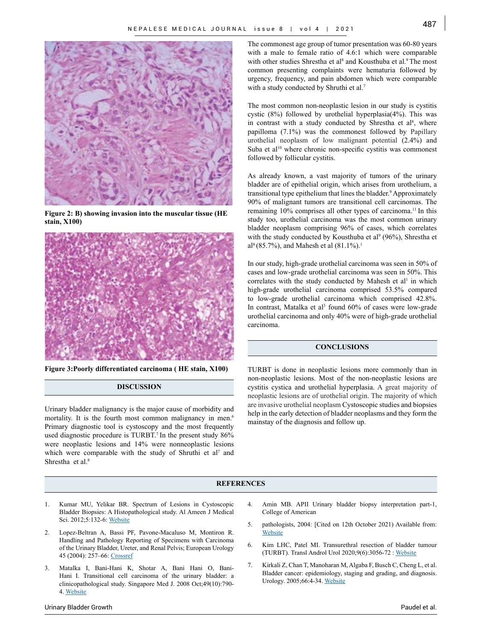

**Figure 2: B) showing invasion into the muscular tissue (HE stain, X100)**



**Figure 3:Poorly differentiated carcinoma ( HE stain, X100)**

# **DISCUSSION**

Urinary bladder malignancy is the major cause of morbidity and mortality. It is the fourth most common malignancy in men.<sup>6</sup> Primary diagnostic tool is cystoscopy and the most frequently used diagnostic procedure is TURBT.<sup>7</sup> In the present study 86% were neoplastic lesions and 14% were nonneoplastic lesions which were comparable with the study of Shruthi et al<sup>7</sup> and Shrestha et al.<sup>8</sup>

The commonest age group of tumor presentation was 60-80 years with a male to female ratio of 4.6:1 which were comparable with other studies Shrestha et al<sup>8</sup> and Kousthuba et al.<sup>9</sup> The most common presenting complaints were hematuria followed by urgency, frequency, and pain abdomen which were comparable with a study conducted by Shruthi et al.<sup>7</sup>

The most common non-neoplastic lesion in our study is cystitis cystic (8%) followed by urothelial hyperplasia(4%). This was in contrast with a study conducted by Shrestha et  $al<sup>8</sup>$ , where papilloma (7.1%) was the commonest followed by Papillary urothelial neoplasm of low malignant potential (2.4%) and Suba et al<sup>10</sup> where chronic non-specific cystitis was commonest followed by follicular cystitis.

As already known, a vast majority of tumors of the urinary bladder are of epithelial origin, which arises from urothelium, a transitional type epithelium that lines the bladder.<sup>9</sup> Approximately 90% of malignant tumors are transitional cell carcinomas. The remaining 10% comprises all other types of carcinoma.<sup>11</sup> In this study too, urothelial carcinoma was the most common urinary bladder neoplasm comprising 96% of cases, which correlates with the study conducted by Kousthuba et al<sup>9</sup> (96%), Shrestha et al<sup>8</sup> (85.7%), and Mahesh et al  $(81.1\%)$ .<sup>1</sup>

In our study, high-grade urothelial carcinoma was seen in 50% of cases and low-grade urothelial carcinoma was seen in 50%. This correlates with the study conducted by Mahesh et  $al<sup>1</sup>$  in which high-grade urothelial carcinoma comprised 53.5% compared to low-grade urothelial carcinoma which comprised 42.8%. In contrast, Matalka et al<sup>3</sup> found 60% of cases were low-grade urothelial carcinoma and only 40% were of high-grade urothelial carcinoma.

# **CONCLUSIONS**

TURBT is done in neoplastic lesions more commonly than in non-neoplastic lesions. Most of the non-neoplastic lesions are cystitis cystica and urothelial hyperplasia. A great majority of neoplastic lesions are of urothelial origin. The majority of which are invasive urothelial neoplasm Cystoscopic studies and biopsies help in the early detection of bladder neoplasms and they form the mainstay of the diagnosis and follow up.

## **REFERENCES**

- 1. Kumar MU, Yelikar BR. Spectrum of Lesions in Cystoscopic Bladder Biopsies: A Histopathological study. Al Ameen J Medical Sci. 2012;5:132-6: [Website](http://ajms.alameenmedical.org/ArticlePDFs%5CAJMS%20V5.N2.2012%20P%20132-136.pdf)
- 2. Lopez-Beltran A, Bassi PF, Pavone-Macaluso M, Montiron R. Handling and Pathology Reporting of Specimens with Carcinoma of the Urinary Bladder, Ureter, and Renal Pelvis; European Urology 45 (2004): 257–66: [Crossref](https://doi.org/10.1016/j.eururo.2003.09.018)
- 3. Matalka I, Bani-Hani K, Shotar A, Bani Hani O, Bani-Hani I. Transitional cell carcinoma of the urinary bladder: a clinicopathological study. Singapore Med J. 2008 Oct;49(10):790- 4. [Website](https://pubmed.ncbi.nlm.nih.gov/18946612/)
- 4. Amin MB. APII Urinary bladder biopsy interpretation part-1, College of American
- 5. pathologists, 2004: [Cited on 12th October 2021) Available from: **[Website](https://webapps.cap.org/apps/docs/annual_meeting/presentations/2004/monday/AP110_Urinary_Bladder_Biopsy_Interpretation_Part_1.pdf)**
- 6. Kim LHC, Patel MI. Transurethral resection of bladder tumour (TURBT). Transl Androl Urol 2020;9(6):3056-72 : [Website](https://pubmed.ncbi.nlm.nih.gov/33457279)
- 7. Kirkali Z, Chan T, Manoharan M, Algaba F, Busch C, Cheng L, et al. Bladder cancer: epidemiology, staging and grading, and diagnosis. Urology. 2005;66:4-34. [Website](https://pubmed.ncbi.nlm.nih.gov/16399414/)